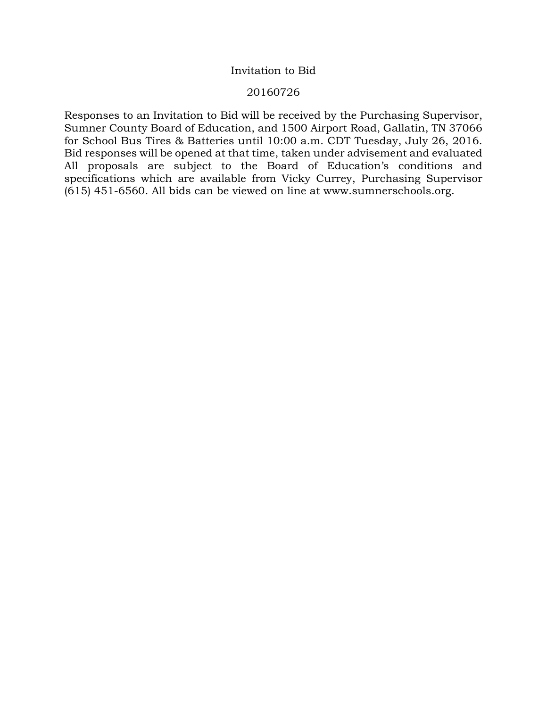# Invitation to Bid

# 20160726

Responses to an Invitation to Bid will be received by the Purchasing Supervisor, Sumner County Board of Education, and 1500 Airport Road, Gallatin, TN 37066 for School Bus Tires & Batteries until 10:00 a.m. CDT Tuesday, July 26, 2016. Bid responses will be opened at that time, taken under advisement and evaluated All proposals are subject to the Board of Education's conditions and specifications which are available from Vicky Currey, Purchasing Supervisor (615) 451-6560. All bids can be viewed on line at www.sumnerschools.org.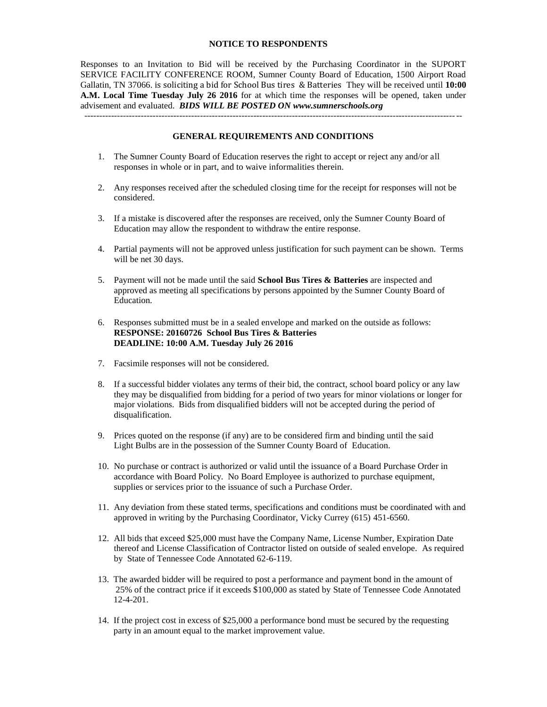#### **NOTICE TO RESPONDENTS**

Responses to an Invitation to Bid will be received by the Purchasing Coordinator in the SUPORT SERVICE FACILITY CONFERENCE ROOM, Sumner County Board of Education, 1500 Airport Road Gallatin, TN 37066. is soliciting a bid for School Bus tires & Batteries They will be received until **10:00 A.M. Local Time Tuesday July 26 2016** for at which time the responses will be opened, taken under advisement and evaluated. *BIDS WILL BE POSTED ON www.sumnerschools.org*

#### **GENERAL REQUIREMENTS AND CONDITIONS**

 $-1$ 

- 1. The Sumner County Board of Education reserves the right to accept or reject any and/or all responses in whole or in part, and to waive informalities therein.
- 2. Any responses received after the scheduled closing time for the receipt for responses will not be considered.
- 3. If a mistake is discovered after the responses are received, only the Sumner County Board of Education may allow the respondent to withdraw the entire response.
- 4. Partial payments will not be approved unless justification for such payment can be shown. Terms will be net 30 days.
- 5. Payment will not be made until the said **School Bus Tires & Batteries** are inspected and approved as meeting all specifications by persons appointed by the Sumner County Board of Education.
- 6. Responses submitted must be in a sealed envelope and marked on the outside as follows: **RESPONSE: 20160726 School Bus Tires & Batteries DEADLINE: 10:00 A.M. Tuesday July 26 2016**
- 7. Facsimile responses will not be considered.
- 8. If a successful bidder violates any terms of their bid, the contract, school board policy or any law they may be disqualified from bidding for a period of two years for minor violations or longer for major violations. Bids from disqualified bidders will not be accepted during the period of disqualification.
- 9. Prices quoted on the response (if any) are to be considered firm and binding until the said Light Bulbs are in the possession of the Sumner County Board of Education.
- 10. No purchase or contract is authorized or valid until the issuance of a Board Purchase Order in accordance with Board Policy. No Board Employee is authorized to purchase equipment, supplies or services prior to the issuance of such a Purchase Order.
- 11. Any deviation from these stated terms, specifications and conditions must be coordinated with and approved in writing by the Purchasing Coordinator, Vicky Currey (615) 451-6560.
- 12. All bids that exceed \$25,000 must have the Company Name, License Number, Expiration Date thereof and License Classification of Contractor listed on outside of sealed envelope. As required by State of Tennessee Code Annotated 62-6-119.
- 13. The awarded bidder will be required to post a performance and payment bond in the amount of 25% of the contract price if it exceeds \$100,000 as stated by State of Tennessee Code Annotated 12-4-201.
- 14. If the project cost in excess of \$25,000 a performance bond must be secured by the requesting party in an amount equal to the market improvement value.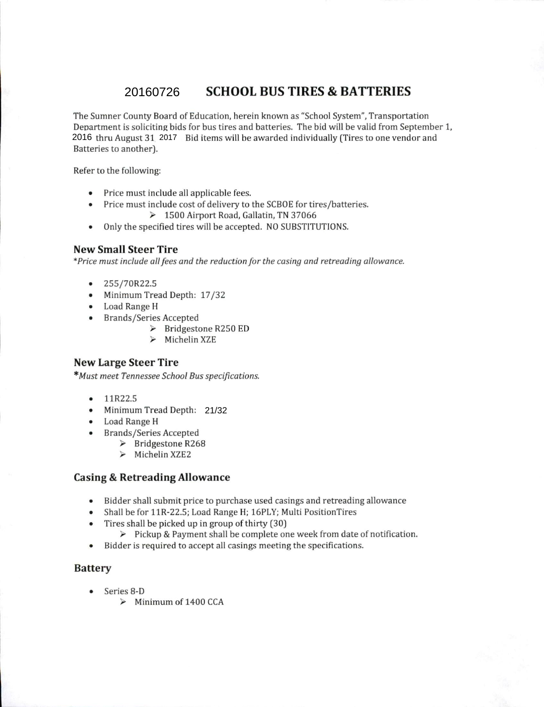#### **SCHOOL BUS TIRES & BATTERIES** 20160726

The Sumner County Board of Education, herein known as "School System", Transportation Department is soliciting bids for bus tires and batteries. The bid will be valid from September 1, 2016 thru August 31, 2017 Bid items will be awarded individually (Tires to one vendor and Batteries to another).

Refer to the following:

- Price must include all applicable fees.
- Price must include cost of delivery to the SCBOE for tires/batteries.
	- > 1500 Airport Road, Gallatin, TN 37066
- Only the specified tires will be accepted. NO SUBSTITUTIONS.

# **New Small Steer Tire**

\*Price must include all fees and the reduction for the casing and retreading allowance.

- $\bullet$ 255/70R22.5
- Minimum Tread Depth: 17/32
- Load Range H
- Brands/Series Accepted
	- $\triangleright$  Bridgestone R250 ED
	- $\blacktriangleright$ Michelin XZE

# **New Large Steer Tire**

\*Must meet Tennessee School Bus specifications.

- 11R22.5
- Minimum Tread Depth: 21/32
- Load Range H
- **Brands/Series Accepted** 
	- $\triangleright$  Bridgestone R268
	- $\triangleright$  Michelin XZE2

## **Casing & Retreading Allowance**

- Bidder shall submit price to purchase used casings and retreading allowance
- Shall be for 11R-22.5; Load Range H; 16PLY; Multi PositionTires
- Tires shall be picked up in group of thirty (30)
	- > Pickup & Payment shall be complete one week from date of notification.
- Bidder is required to accept all casings meeting the specifications.  $\bullet$

### **Battery**

- $\bullet$  Series 8-D
	- $\triangleright$  Minimum of 1400 CCA